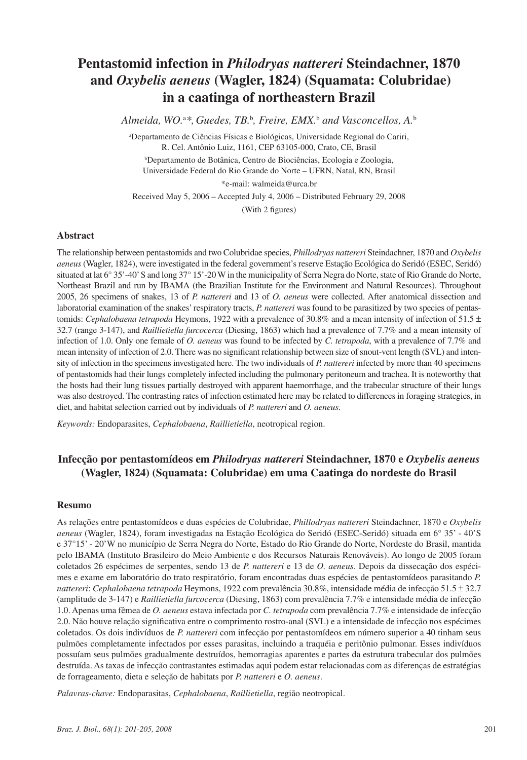# **Pentastomid infection in** *Philodryas nattereri* **Steindachner, 1870 and** *Oxybelis aeneus* **(Wagler, 1824) (Squamata: Colubridae) in a caatinga of northeastern Brazil**

*Almeida, WO.*<sup>a</sup> *\*, Guedes, TB.*<sup>b</sup> *, Freire, EMX.*<sup>b</sup>  *and Vasconcellos, A.*<sup>b</sup>

a Departamento de Ciências Físicas e Biológicas, Universidade Regional do Cariri, R. Cel. Antônio Luiz, 1161, CEP 63105-000, Crato, CE, Brasil

b Departamento de Botânica, Centro de Biociências, Ecologia e Zoologia, Universidade Federal do Rio Grande do Norte – UFRN, Natal, RN, Brasil

\*e-mail: walmeida@urca.br

Received May 5, 2006 – Accepted July 4, 2006 – Distributed February 29, 2008

(With 2 figures)

#### **Abstract**

The relationship between pentastomids and two Colubridae species, *Phillodryas nattereri* Steindachner, 1870 and *Oxybelis aeneus* (Wagler, 1824), were investigated in the federal government's reserve Estação Ecológica do Seridó (ESEC, Seridó) situated at lat 6° 35'-40'S and long 37° 15'-20W in the municipality of Serra Negra do Norte, state of Rio Grande do Norte, Northeast Brazil and run by IBAMA (the Brazilian Institute for the Environment and Natural Resources). Throughout 2005, 26 specimens of snakes, 13 of *P. nattereri* and 13 of *O. aeneus* were collected. After anatomical dissection and laboratorial examination of the snakes' respiratory tracts, *P. nattereri* was found to be parasitized by two species of pentastomids: *Cephalobaena tetrapoda* Heymons, 1922 with a prevalence of 30.8% and a mean intensity of infection of 51.5 ± 32.7 (range 3-147), and *Raillietiella furcocerca* (Diesing, 1863) which had a prevalence of 7.7% and a mean intensity of infection of 1.0. Only one female of *O. aeneus* was found to be infected by *C. tetrapoda*, with a prevalence of 7.7% and mean intensity of infection of 2.0. There was no significant relationship between size of snout-vent length (SVL) and intensity of infection in the specimens investigated here. The two individuals of *P. nattereri* infected by more than 40 specimens of pentastomids had their lungs completely infected including the pulmonary peritoneum and trachea. It is noteworthy that the hosts had their lung tissues partially destroyed with apparent haemorrhage, and the trabecular structure of their lungs was also destroyed. The contrasting rates of infection estimated here may be related to differences in foraging strategies, in diet, and habitat selection carried out by individuals of *P. nattereri* and *O. aeneus*.

*Keywords:* Endoparasites, *Cephalobaena*, *Raillietiella*, neotropical region.

## **Infecção por pentastomídeos em** *Philodryas nattereri* **Steindachner, 1870 e** *Oxybelis aeneus* **(Wagler, 1824) (Squamata: Colubridae) em uma Caatinga do nordeste do Brasil**

#### **Resumo**

As relações entre pentastomídeos e duas espécies de Colubridae, *Phillodryas nattereri* Steindachner, 1870 e *Oxybelis aeneus* (Wagler, 1824), foram investigadas na Estação Ecológica do Seridó (ESEC-Seridó) situada em 6° 35' - 40'S e 37°15' - 20'W no município de Serra Negra do Norte, Estado do Rio Grande do Norte, Nordeste do Brasil, mantida pelo IBAMA (Instituto Brasileiro do Meio Ambiente e dos Recursos Naturais Renováveis). Ao longo de 2005 foram coletados 26 espécimes de serpentes, sendo 13 de *P. nattereri* e 13 de *O. aeneus*. Depois da dissecação dos espécimes e exame em laboratório do trato respiratório, foram encontradas duas espécies de pentastomídeos parasitando *P. nattereri*: *Cephalobaena tetrapoda* Heymons, 1922 com prevalência 30.8%, intensidade média de infecção 51.5 ± 32.7 (amplitude de 3-147) e *Raillietiella furcocerca* (Diesing, 1863) com prevalência 7.7% e intensidade média de infecção 1.0. Apenas uma fêmea de *O. aeneus* estava infectada por *C. tetrapoda* com prevalência 7.7% e intensidade de infecção 2.0. Não houve relação significativa entre o comprimento rostro-anal (SVL) e a intensidade de infecção nos espécimes coletados. Os dois indivíduos de *P. nattereri* com infecção por pentastomídeos em número superior a 40 tinham seus pulmões completamente infectados por esses parasitas, incluindo a traquéia e peritônio pulmonar. Esses indivíduos possuíam seus pulmões gradualmente destruídos, hemorragias aparentes e partes da estrutura trabecular dos pulmões destruída. As taxas de infecção contrastantes estimadas aqui podem estar relacionadas com as diferenças de estratégias de forrageamento, dieta e seleção de habitats por *P. nattereri* e *O. aeneus*.

*Palavras-chave:* Endoparasitas, *Cephalobaena*, *Raillietiella*, região neotropical.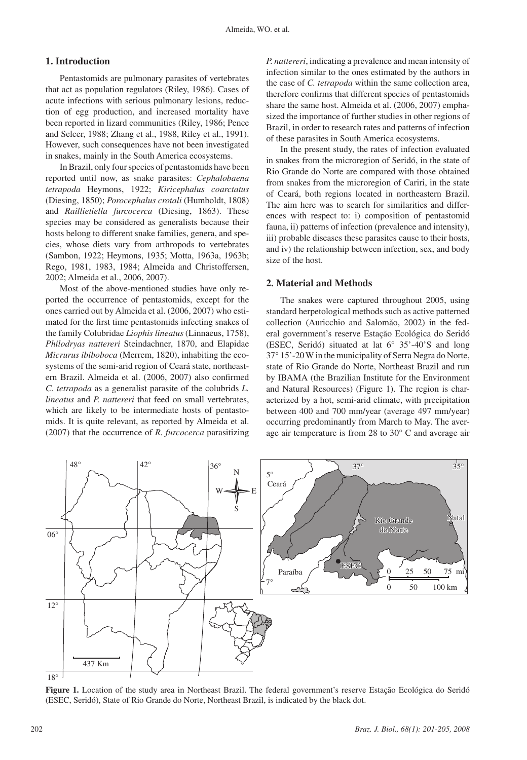### **1. Introduction**

Pentastomids are pulmonary parasites of vertebrates that act as population regulators (Riley, 1986). Cases of acute infections with serious pulmonary lesions, reduction of egg production, and increased mortality have been reported in lizard communities (Riley, 1986; Pence and Selcer, 1988; Zhang et al., 1988, Riley et al., 1991). However, such consequences have not been investigated in snakes, mainly in the South America ecosystems.

In Brazil, only four species of pentastomids have been reported until now, as snake parasites: *Cephalobaena tetrapoda* Heymons, 1922; *Kiricephalus coarctatus*  (Diesing, 1850); *Porocephalus crotali* (Humboldt, 1808) and *Raillietiella furcocerca* (Diesing, 1863). These species may be considered as generalists because their hosts belong to different snake families, genera, and species, whose diets vary from arthropods to vertebrates (Sambon, 1922; Heymons, 1935; Motta, 1963a, 1963b; Rego, 1981, 1983, 1984; Almeida and Christoffersen, 2002; Almeida et al., 2006, 2007).

Most of the above-mentioned studies have only reported the occurrence of pentastomids, except for the ones carried out by Almeida et al. (2006, 2007) who estimated for the first time pentastomids infecting snakes of the family Colubridae *Liophis lineatus* (Linnaeus, 1758), *Philodryas nattereri* Steindachner, 1870, and Elapidae *Micrurus ibiboboca* (Merrem, 1820), inhabiting the ecosystems of the semi-arid region of Ceará state, northeastern Brazil. Almeida et al. (2006, 2007) also confirmed *C. tetrapoda* as a generalist parasite of the colubrids *L. lineatus* and *P. nattereri* that feed on small vertebrates, which are likely to be intermediate hosts of pentastomids. It is quite relevant, as reported by Almeida et al. (2007) that the occurrence of *R. furcocerca* parasitizing

*P. nattereri*, indicating a prevalence and mean intensity of infection similar to the ones estimated by the authors in the case of *C. tetrapoda* within the same collection area, therefore confirms that different species of pentastomids share the same host. Almeida et al. (2006, 2007) emphasized the importance of further studies in other regions of Brazil, in order to research rates and patterns of infection of these parasites in South America ecosystems.

In the present study, the rates of infection evaluated in snakes from the microregion of Seridó, in the state of Rio Grande do Norte are compared with those obtained from snakes from the microregion of Cariri, in the state of Ceará, both regions located in northeastern Brazil. The aim here was to search for similarities and differences with respect to: i) composition of pentastomid fauna, ii) patterns of infection (prevalence and intensity), iii) probable diseases these parasites cause to their hosts, and iv) the relationship between infection, sex, and body size of the host.

#### **2. Material and Methods**

The snakes were captured throughout 2005, using standard herpetological methods such as active patterned collection (Auricchio and Salomão, 2002) in the federal government's reserve Estação Ecológica do Seridó (ESEC, Seridó) situated at lat 6° 35'-40'S and long 37° 15'-20W in the municipality of Serra Negra do Norte, state of Rio Grande do Norte, Northeast Brazil and run by IBAMA (the Brazilian Institute for the Environment and Natural Resources) (Figure 1). The region is characterized by a hot, semi-arid climate, with precipitation between 400 and 700 mm/year (average 497 mm/year) occurring predominantly from March to May. The average air temperature is from 28 to 30° C and average air



**Figure 1.** Location of the study area in Northeast Brazil. The federal government's reserve Estação Ecológica do Seridó (ESEC, Seridó), State of Rio Grande do Norte, Northeast Brazil, is indicated by the black dot.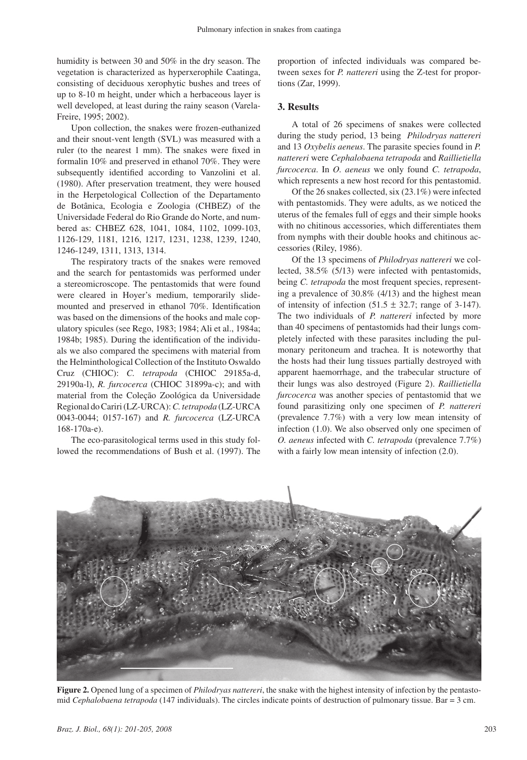humidity is between 30 and 50% in the dry season. The vegetation is characterized as hyperxerophile Caatinga, consisting of deciduous xerophytic bushes and trees of up to 8-10 m height, under which a herbaceous layer is well developed, at least during the rainy season (Varela-Freire, 1995; 2002).

Upon collection, the snakes were frozen-euthanized and their snout-vent length (SVL) was measured with a ruler (to the nearest 1 mm). The snakes were fixed in formalin 10% and preserved in ethanol 70%. They were subsequently identified according to Vanzolini et al. (1980). After preservation treatment, they were housed in the Herpetological Collection of the Departamento de Botânica, Ecologia e Zoologia (CHBEZ) of the Universidade Federal do Rio Grande do Norte, and numbered as: CHBEZ 628, 1041, 1084, 1102, 1099-103, 1126-129, 1181, 1216, 1217, 1231, 1238, 1239, 1240, 1246-1249, 1311, 1313, 1314.

The respiratory tracts of the snakes were removed and the search for pentastomids was performed under a stereomicroscope. The pentastomids that were found were cleared in Hoyer's medium, temporarily slidemounted and preserved in ethanol 70%. Identification was based on the dimensions of the hooks and male copulatory spicules (see Rego, 1983; 1984; Ali et al., 1984a; 1984b; 1985). During the identification of the individuals we also compared the specimens with material from the Helminthological Collection of the Instituto Oswaldo Cruz (CHIOC): *C. tetrapoda* (CHIOC 29185a-d, 29190a-l), *R. furcocerca* (CHIOC 31899a-c); and with material from the Coleção Zoológica da Universidade Regional do Cariri (LZ-URCA): *C. tetrapoda* (LZ-URCA 0043-0044; 0157-167) and *R. furcocerca* (LZ-URCA 168-170a-e).

The eco-parasitological terms used in this study followed the recommendations of Bush et al. (1997). The proportion of infected individuals was compared between sexes for *P. nattereri* using the Z-test for proportions (Zar, 1999).

#### **3. Results**

A total of 26 specimens of snakes were collected during the study period, 13 being *Philodryas nattereri* and 13 *Oxybelis aeneus*. The parasite species found in *P. nattereri* were *Cephalobaena tetrapoda* and *Raillietiella furcocerca*. In *O. aeneus* we only found *C. tetrapoda*, which represents a new host record for this pentastomid.

Of the 26 snakes collected, six (23.1%) were infected with pentastomids. They were adults, as we noticed the uterus of the females full of eggs and their simple hooks with no chitinous accessories, which differentiates them from nymphs with their double hooks and chitinous accessories (Riley, 1986).

Of the 13 specimens of *Philodryas nattereri* we collected, 38.5% (5/13) were infected with pentastomids, being *C. tetrapoda* the most frequent species, representing a prevalence of 30.8% (4/13) and the highest mean of intensity of infection  $(51.5 \pm 32.7)$ ; range of 3-147). The two individuals of *P. nattereri* infected by more than 40 specimens of pentastomids had their lungs completely infected with these parasites including the pulmonary peritoneum and trachea. It is noteworthy that the hosts had their lung tissues partially destroyed with apparent haemorrhage, and the trabecular structure of their lungs was also destroyed (Figure 2). *Raillietiella furcocerca* was another species of pentastomid that we found parasitizing only one specimen of *P. nattereri*  (prevalence 7.7%) with a very low mean intensity of infection (1.0). We also observed only one specimen of *O. aeneus* infected with *C. tetrapoda* (prevalence 7.7%) with a fairly low mean intensity of infection (2.0).



**Figure 2.** Opened lung of a specimen of *Philodryas nattereri*, the snake with the highest intensity of infection by the pentastomid *Cephalobaena tetrapoda* (147 individuals). The circles indicate points of destruction of pulmonary tissue. Bar = 3 cm.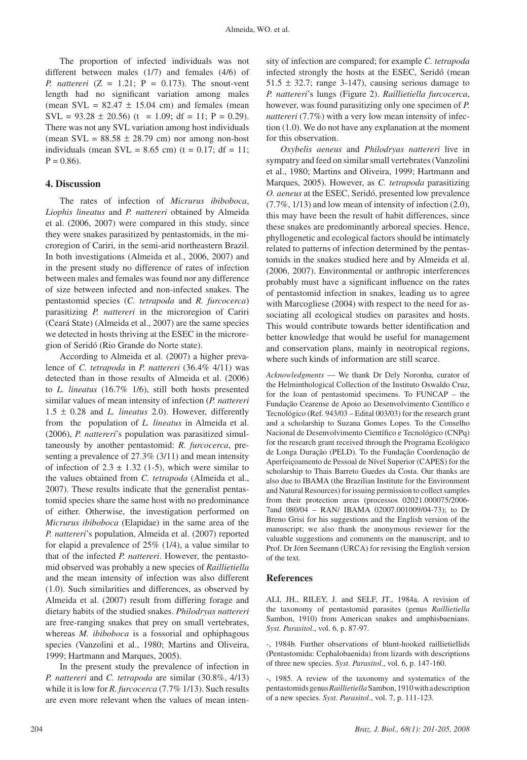The proportion of infected individuals was not different between males (1/7) and females (4/6) of *P. nattereri*  $(Z = 1.21; P = 0.173)$ . The snout-vent length had no significant variation among males (mean SVL =  $82.47 \pm 15.04$  cm) and females (mean  $SVL = 93.28 \pm 20.56$  (t = 1.09; df = 11; P = 0.29). There was not any SVL variation among host individuals (mean SVL =  $88.58 \pm 28.79$  cm) nor among non-host individuals (mean SVL =  $8.65$  cm) (t =  $0.17$ ; df =  $11$ ;  $P = 0.86$ .

#### **4. Discussion**

The rates of infection of *Micrurus ibiboboca*, *Liophis lineatus* and *P. nattereri* obtained by Almeida et al. (2006, 2007) were compared in this study, since they were snakes parasitized by pentastomids, in the microregion of Cariri, in the semi-arid northeastern Brazil. In both investigations (Almeida et al., 2006, 2007) and in the present study no difference of rates of infection between males and females was found nor any difference of size between infected and non-infected snakes. The pentastomid species (*C. tetrapoda* and *R. furcocerca*) parasitizing *P. nattereri* in the microregion of Cariri (Ceará State) (Almeida et al., 2007) are the same species we detected in hosts thriving at the ESEC in the microregion of Seridó (Rio Grande do Norte state).

According to Almeida et al. (2007) a higher prevalence of *C. tetrapoda* in *P. nattereri* (36.4% 4/11) was detected than in those results of Almeida et al. (2006) to *L. lineatus* (16.7% 1/6), still both hosts presented similar values of mean intensity of infection (*P. nattereri*  1.5 ± 0.28 and *L. lineatus* 2.0). However, differently from the population of *L. lineatus* in Almeida et al. (2006), *P. nattereri*'s population was parasitized simultaneously by another pentastomid: *R. furcocerca*, presenting a prevalence of 27.3% (3/11) and mean intensity of infection of  $2.3 \pm 1.32$  (1-5), which were similar to the values obtained from *C. tetrapoda* (Almeida et al., 2007). These results indicate that the generalist pentastomid species share the same host with no predominance of either. Otherwise, the investigation performed on *Micrurus ibiboboca* (Elapidae) in the same area of the *P. nattereri*'s population, Almeida et al. (2007) reported for elapid a prevalence of 25% (1/4), a value similar to that of the infected *P. nattereri*. However, the pentastomid observed was probably a new species of *Raillietiella*  and the mean intensity of infection was also different (1.0). Such similarities and differences, as observed by Almeida et al. (2007) result from differing forage and dietary habits of the studied snakes. *Philodryas nattereri*  are free-ranging snakes that prey on small vertebrates, whereas *M. ibiboboca* is a fossorial and ophiphagous species (Vanzolini et al., 1980; Martins and Oliveira, 1999; Hartmann and Marques, 2005).

In the present study the prevalence of infection in *P. nattereri* and *C. tetrapoda* are similar (30.8%, 4/13) while it is low for *R. furcocerca* (7.7% 1/13). Such results are even more relevant when the values of mean intensity of infection are compared; for example *C. tetrapoda*  infected strongly the hosts at the ESEC, Seridó (mean  $51.5 \pm 32.7$ ; range 3-147), causing serious damage to *P. nattereri*'s lungs (Figure 2). *Raillietiella furcocerca*, however, was found parasitizing only one specimen of *P. nattereri* (7.7%) with a very low mean intensity of infection (1.0). We do not have any explanation at the moment for this observation.

*Oxybelis aeneus* and *Philodryas nattereri* live in sympatry and feed on similar small vertebrates (Vanzolini et al., 1980; Martins and Oliveira, 1999; Hartmann and Marques, 2005). However, as *C. tetrapoda* parasitizing *O. aeneus* at the ESEC, Seridó, presented low prevalence (7.7%, 1/13) and low mean of intensity of infection (2.0), this may have been the result of habit differences, since these snakes are predominantly arboreal species. Hence, phyllogenetic and ecological factors should be intimately related to patterns of infection determined by the pentastomids in the snakes studied here and by Almeida et al. (2006, 2007). Environmental or anthropic interferences probably must have a significant influence on the rates of pentastomid infection in snakes, leading us to agree with Marcogliese (2004) with respect to the need for associating all ecological studies on parasites and hosts. This would contribute towards better identification and better knowledge that would be useful for management and conservation plans, mainly in neotropical regions, where such kinds of information are still scarce.

*Acknowledgments* — We thank Dr Dely Noronha, curator of the Helminthological Collection of the Instituto Oswaldo Cruz, for the loan of pentastomid specimens. To FUNCAP – the Fundação Cearense de Apoio ao Desenvolvimento Científico e Tecnológico (Ref. 943/03 – Edital 003/03) for the research grant and a scholarship to Suzana Gomes Lopes. To the Conselho Nacional de Desenvolvimento Científico e Tecnológico (CNPq) for the research grant received through the Programa Ecológico de Longa Duração (PELD). To the Fundação Coordenação de Aperfeiçoamento de Pessoal de Nível Superior (CAPES) for the scholarship to Thais Barreto Guedes da Costa. Our thanks are also due to IBAMA (the Brazilian Institute for the Environment and Natural Resources) for issuing permission to collect samples from their protection areas (processos 02021.000075/2006- 7and 080/04 – RAN/ IBAMA 02007.001009/04-73); to Dr Breno Grisi for his suggestions and the English version of the manuscript; we also thank the anonymous reviewer for the valuable suggestions and comments on the manuscript, and to Prof. Dr Jörn Seemann (URCA) for revising the English version of the text.

#### **References**

ALI, JH., RILEY, J. and SELF, JT., 1984a. A revision of the taxonomy of pentastomid parasites (genus *Raillietiella*  Sambon, 1910) from American snakes and amphisbaenians. *Syst. Parasitol*., vol. 6, p. 87-97.

-, 1984b. Further observations of blunt-hooked raillietiellids (Pentastomida: Cephalobaenida) from lizards with descriptions of three new species. *Syst. Parasitol*., vol. 6, p. 147-160.

-, 1985. A review of the taxonomy and systematics of the pentastomids genus *Raillietiella* Sambon, 1910 with a description of a new species. *Syst. Parasitol*., vol. 7, p. 111-123.